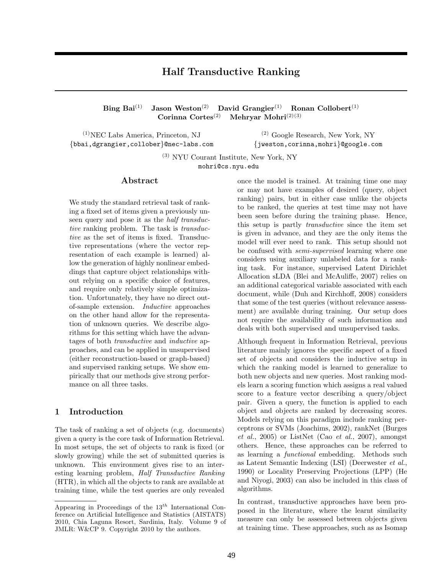# Half Transductive Ranking

Bing Bai<sup>(1)</sup> Jason Weston<sup>(2)</sup> David Grangier<sup>(1)</sup> Ronan Collobert<sup>(1)</sup> Corinna Cortes<sup>(2)</sup> Mehryar Mohri<sup>(2)(3)</sup> Mehryar Mohri $^{(2)(3)}$ 

(1)NEC Labs America, Princeton, NJ {bbai,dgrangier,collober}@nec-labs.com

(2) Google Research, New York, NY {jweston,corinna,mohri}@google.com

(3) NYU Courant Institute, New York, NY mohri@cs.nyu.edu

#### Abstract

We study the standard retrieval task of ranking a fixed set of items given a previously unseen query and pose it as the *half transduc*tive ranking problem. The task is *transduc*tive as the set of items is fixed. Transductive representations (where the vector representation of each example is learned) allow the generation of highly nonlinear embeddings that capture object relationships without relying on a specific choice of features, and require only relatively simple optimization. Unfortunately, they have no direct outof-sample extension. Inductive approaches on the other hand allow for the representation of unknown queries. We describe algorithms for this setting which have the advantages of both *transductive* and *inductive* approaches, and can be applied in unsupervised (either reconstruction-based or graph-based) and supervised ranking setups. We show empirically that our methods give strong performance on all three tasks.

#### 1 Introduction

The task of ranking a set of objects (e.g. documents) given a query is the core task of Information Retrieval. In most setups, the set of objects to rank is fixed (or slowly growing) while the set of submitted queries is unknown. This environment gives rise to an interesting learning problem, Half Transductive Ranking (HTR), in which all the objects to rank are available at training time, while the test queries are only revealed

once the model is trained. At training time one may or may not have examples of desired (query, object ranking) pairs, but in either case unlike the objects to be ranked, the queries at test time may not have been seen before during the training phase. Hence, this setup is partly transductive since the item set is given in advance, and they are the only items the model will ever need to rank. This setup should not be confused with semi-supervised learning where one considers using auxiliary unlabeled data for a ranking task. For instance, supervised Latent Dirichlet Allocation sLDA (Blei and McAuliffe, 2007) relies on an additional categorical variable associated with each document, while (Duh and Kirchhoff, 2008) considers that some of the test queries (without relevance assessment) are available during training. Our setup does not require the availability of such information and deals with both supervised and unsupervised tasks.

Although frequent in Information Retrieval, previous literature mainly ignores the specific aspect of a fixed set of objects and considers the inductive setup in which the ranking model is learned to generalize to both new objects and new queries. Most ranking models learn a scoring function which assigns a real valued score to a feature vector describing a query/object pair. Given a query, the function is applied to each object and objects are ranked by decreasing scores. Models relying on this paradigm include ranking perceptrons or SVMs (Joachims, 2002), rankNet (Burges  $et \ al.,\ 2005$  or ListNet (Cao  $et \ al.,\ 2007$ ), amongst others. Hence, these approaches can be referred to as learning a functional embedding. Methods such as Latent Semantic Indexing (LSI) (Deerwester et al., 1990) or Locality Preserving Projections (LPP) (He and Niyogi, 2003) can also be included in this class of algorithms.

In contrast, transductive approaches have been proposed in the literature, where the learnt similarity measure can only be assessed between objects given at training time. These approaches, such as as Isomap

Appearing in Proceedings of the  $13<sup>th</sup>$  International Conference on Artificial Intelligence and Statistics (AISTATS) 2010, Chia Laguna Resort, Sardinia, Italy. Volume 9 of JMLR: W&CP 9. Copyright 2010 by the authors.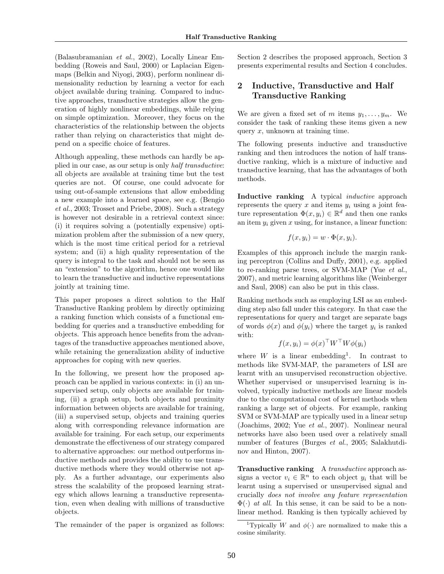(Balasubramanian et al., 2002), Locally Linear Embedding (Roweis and Saul, 2000) or Laplacian Eigenmaps (Belkin and Niyogi, 2003), perform nonlinear dimensionality reduction by learning a vector for each object available during training. Compared to inductive approaches, transductive strategies allow the generation of highly nonlinear embeddings, while relying on simple optimization. Moreover, they focus on the characteristics of the relationship between the objects rather than relying on characteristics that might depend on a specific choice of features.

Although appealing, these methods can hardly be applied in our case, as our setup is only half transductive: all objects are available at training time but the test queries are not. Of course, one could advocate for using out-of-sample extensions that allow embedding a new example into a learned space, see e.g. (Bengio et al., 2003; Trosset and Priebe, 2008). Such a strategy is however not desirable in a retrieval context since: (i) it requires solving a (potentially expensive) optimization problem after the submission of a new query, which is the most time critical period for a retrieval system; and (ii) a high quality representation of the query is integral to the task and should not be seen as an "extension" to the algorithm, hence one would like to learn the transductive and inductive representations jointly at training time.

This paper proposes a direct solution to the Half Transductive Ranking problem by directly optimizing a ranking function which consists of a functional embedding for queries and a transductive embedding for objects. This approach hence benefits from the advantages of the transductive approaches mentioned above, while retaining the generalization ability of inductive approaches for coping with new queries.

In the following, we present how the proposed approach can be applied in various contexts: in (i) an unsupervised setup, only objects are available for training, (ii) a graph setup, both objects and proximity information between objects are available for training, (iii) a supervised setup, objects and training queries along with corresponding relevance information are available for training. For each setup, our experiments demonstrate the effectiveness of our strategy compared to alternative approaches: our method outperforms inductive methods and provides the ability to use transductive methods where they would otherwise not apply. As a further advantage, our experiments also stress the scalability of the proposed learning strategy which allows learning a transductive representation, even when dealing with millions of transductive objects.

The remainder of the paper is organized as follows:

Section 2 describes the proposed approach, Section 3 presents experimental results and Section 4 concludes.

### 2 Inductive, Transductive and Half Transductive Ranking

We are given a fixed set of m items  $y_1, \ldots, y_m$ . We consider the task of ranking these items given a new query  $x$ , unknown at training time.

The following presents inductive and transductive ranking and then introduces the notion of half transductive ranking, which is a mixture of inductive and transductive learning, that has the advantages of both methods.

Inductive ranking A typical *inductive* approach represents the query  $x$  and items  $y_i$  using a joint feature representation  $\Phi(x, y_i) \in \mathbb{R}^d$  and then one ranks an item  $y_i$  given x using, for instance, a linear function:

$$
f(x, y_i) = w \cdot \Phi(x, y_i).
$$

Examples of this approach include the margin ranking perceptron (Collins and Duffy, 2001), e.g. applied to re-ranking parse trees, or SVM-MAP (Yue et al., 2007), and metric learning algorithms like (Weinberger and Saul, 2008) can also be put in this class.

Ranking methods such as employing LSI as an embedding step also fall under this category. In that case the representations for query and target are separate bags of words  $\phi(x)$  and  $\phi(y_i)$  where the target  $y_i$  is ranked with:

$$
f(x, y_i) = \phi(x)^\top W^\top W \phi(y_i)
$$

where  $W$  is a linear embedding<sup>1</sup>. In contrast to methods like SVM-MAP, the parameters of LSI are learnt with an unsupervised reconstruction objective. Whether supervised or unsupervised learning is involved, typically inductive methods are linear models due to the computational cost of kernel methods when ranking a large set of objects. For example, ranking SVM or SVM-MAP are typically used in a linear setup (Joachims, 2002; Yue et al., 2007). Nonlinear neural networks have also been used over a relatively small number of features (Burges et al., 2005; Salakhutdinov and Hinton, 2007).

Transductive ranking A transductive approach assigns a vector  $v_i \in \mathbb{R}^n$  to each object  $y_i$  that will be learnt using a supervised or unsupervised signal and crucially does not involve any feature representation  $\Phi(\cdot)$  *at all.* In this sense, it can be said to be a nonlinear method. Ranking is then typically achieved by

<sup>&</sup>lt;sup>1</sup>Typically W and  $\phi(\cdot)$  are normalized to make this a cosine similarity.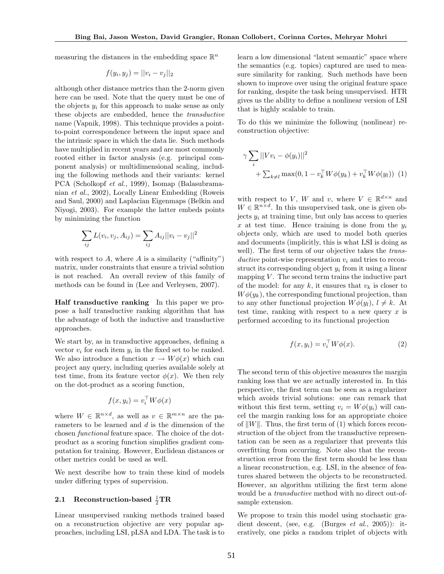measuring the distances in the embedding space  $\mathbb{R}^n$ 

$$
f(y_i, y_j) = ||v_i - v_j||_2
$$

although other distance metrics than the 2-norm given here can be used. Note that the query must be one of the objects  $y_i$  for this approach to make sense as only these objects are embedded, hence the transductive name (Vapnik, 1998). This technique provides a pointto-point correspondence between the input space and the intrinsic space in which the data lie. Such methods have multiplied in recent years and are most commonly rooted either in factor analysis (e.g. principal component analysis) or multidimensional scaling, including the following methods and their variants: kernel PCA (Scholkopf et al., 1999), Isomap (Balasubramanian et al., 2002), Locally Linear Embedding (Roweis and Saul, 2000) and Laplacian Eigenmaps (Belkin and Niyogi, 2003). For example the latter embeds points by minimizing the function

$$
\sum_{ij} L(v_i, v_j, A_{ij}) = \sum_{ij} A_{ij} ||v_i - v_j||^2
$$

with respect to  $A$ , where  $A$  is a similarity ("affinity") matrix, under constraints that ensure a trivial solution is not reached. An overall review of this family of methods can be found in (Lee and Verleysen, 2007).

Half transductive ranking In this paper we propose a half transductive ranking algorithm that has the advantage of both the inductive and transductive approaches.

We start by, as in transductive approaches, defining a vector  $v_i$  for each item  $y_i$  in the fixed set to be ranked. We also introduce a function  $x \to W\phi(x)$  which can project any query, including queries available solely at test time, from its feature vector  $\phi(x)$ . We then rely on the dot-product as a scoring function,

$$
f(x, y_i) = v_i^{\top} W \phi(x)
$$

where  $W \in \mathbb{R}^{n \times d}$ , as well as  $v \in \mathbb{R}^{m \times n}$  are the parameters to be learned and d is the dimension of the chosen functional feature space. The choice of the dotproduct as a scoring function simplifies gradient computation for training. However, Euclidean distances or other metrics could be used as well.

We next describe how to train these kind of models under differing types of supervision.

# 2.1 Reconstruction-based  $\frac{1}{2} \text{TR}$

Linear unsupervised ranking methods trained based on a reconstruction objective are very popular approaches, including LSI, pLSA and LDA. The task is to

learn a low dimensional "latent semantic" space where the semantics (e.g. topics) captured are used to measure similarity for ranking. Such methods have been shown to improve over using the original feature space for ranking, despite the task being unsupervised. HTR gives us the ability to define a nonlinear version of LSI that is highly scalable to train.

To do this we minimize the following (nonlinear) reconstruction objective:

$$
\gamma \sum_{i} ||V v_{i} - \phi(y_{i})||^{2} + \sum_{k \neq l} \max(0, 1 - v_{k}^{\top} W \phi(y_{k}) + v_{k}^{\top} W \phi(y_{l}))
$$
 (1)

with respect to V, W and v, where  $V \in \mathbb{R}^{d \times n}$  and  $W \in \mathbb{R}^{n \times d}$ . In this unsupervised task, one is given objects  $y_i$  at training time, but only has access to queries x at test time. Hence training is done from the  $y_i$ objects only, which are used to model both queries and documents (implicitly, this is what LSI is doing as well). The first term of our objective takes the *trans*ductive point-wise representation  $v_i$  and tries to reconstruct its corresponding object  $y_i$  from it using a linear mapping  $V$ . The second term trains the inductive part of the model: for any  $k$ , it ensures that  $v_k$  is closer to  $W\phi(y_k)$ , the corresponding functional projection, than to any other functional projection  $W\phi(y_l)$ ,  $l \neq k$ . At test time, ranking with respect to a new query  $x$  is performed according to its functional projection

$$
f(x, y_i) = v_i^{\top} W \phi(x). \tag{2}
$$

The second term of this objective measures the margin ranking loss that we are actually interested in. In this perspective, the first term can be seen as a regularizer which avoids trivial solutions: one can remark that without this first term, setting  $v_i = W\phi(y_i)$  will cancel the margin ranking loss for an appropriate choice of  $||W||$ . Thus, the first term of (1) which forces reconstruction of the object from the transductive representation can be seen as a regularizer that prevents this overfitting from occurring. Note also that the reconstruction error from the first term should be less than a linear reconstruction, e.g. LSI, in the absence of features shared between the objects to be reconstructed. However, an algorithm utilizing the first term alone would be a transductive method with no direct out-ofsample extension.

We propose to train this model using stochastic gradient descent, (see, e.g. (Burges *et al.*, 2005)): iteratively, one picks a random triplet of objects with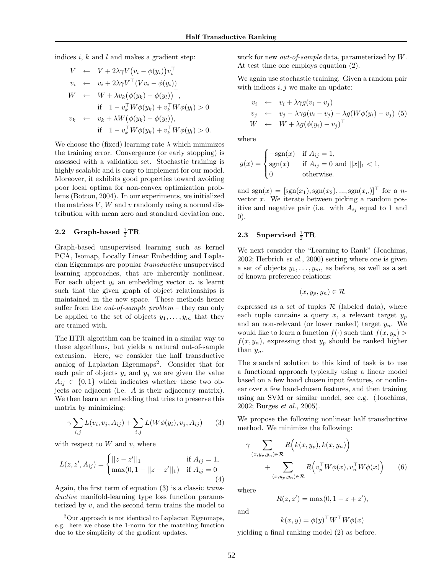indices i,  $k$  and  $l$  and makes a gradient step:

$$
V \leftarrow V + 2\lambda \gamma V (v_i - \phi(y_i)) v_i^{\top}
$$
  
\n
$$
v_i \leftarrow v_i + 2\lambda \gamma V^{\top} (Vv_i - \phi(y_i))
$$
  
\n
$$
W \leftarrow W + \lambda v_k (\phi(y_k) - \phi(y_l))^{\top},
$$
  
\nif  $1 - v_k^{\top} W \phi(y_k) + v_k^{\top} W \phi(y_l) > 0$   
\n
$$
v_k \leftarrow v_k + \lambda W (\phi(y_k) - \phi(y_l)),
$$
  
\nif  $1 - v_k^{\top} W \phi(y_k) + v_k^{\top} W \phi(y_l) > 0.$ 

We choose the (fixed) learning rate  $\lambda$  which minimizes the training error. Convergence (or early stopping) is assessed with a validation set. Stochastic training is highly scalable and is easy to implement for our model. Moreover, it exhibits good properties toward avoiding poor local optima for non-convex optimization problems (Bottou, 2004). In our experiments, we initialized the matrices  $V$ ,  $W$  and  $v$  randomly using a normal distribution with mean zero and standard deviation one.

# 2.2 Graph-based  $\frac{1}{2} \text{TR}$

Graph-based unsupervised learning such as kernel PCA, Isomap, Locally Linear Embedding and Laplacian Eigenmaps are popular transductive unsupervised learning approaches, that are inherently nonlinear. For each object  $y_i$  an embedding vector  $v_i$  is learnt such that the given graph of object relationships is maintained in the new space. These methods hence suffer from the *out-of-sample problem* – they can only be applied to the set of objects  $y_1, \ldots, y_m$  that they are trained with.

The HTR algorithm can be trained in a similar way to these algorithms, but yields a natural out-of-sample extension. Here, we consider the half transductive analog of Laplacian Eigenmaps<sup>2</sup>. Consider that for each pair of objects  $y_i$  and  $y_j$  we are given the value  $A_{ij} \in \{0,1\}$  which indicates whether these two objects are adjacent (i.e. A is their adjacency matrix). We then learn an embedding that tries to preserve this matrix by minimizing:

$$
\gamma \sum_{i,j} L(v_i, v_j, A_{ij}) + \sum_{i,j} L(W\phi(y_i), v_j, A_{ij}) \qquad (3)
$$

with respect to  $W$  and  $v$ , where

$$
L(z, z', A_{ij}) = \begin{cases} ||z - z'||_1 & \text{if } A_{ij} = 1, \\ \max(0, 1 - ||z - z'||_1) & \text{if } A_{ij} = 0 \end{cases}
$$
(4)

Again, the first term of equation (3) is a classic transductive manifold-learning type loss function parameterized by v, and the second term trains the model to work for new *out-of-sample* data, parameterized by W. At test time one employs equation (2).

We again use stochastic training. Given a random pair with indices  $i, j$  we make an update:

$$
v_i \leftarrow v_i + \lambda \gamma g (v_i - v_j)
$$
  
\n
$$
v_j \leftarrow v_j - \lambda \gamma g (v_i - v_j) - \lambda g (W \phi (y_i) - v_j) (5)
$$
  
\n
$$
W \leftarrow W + \lambda g (\phi (y_i) - v_j)^\top
$$

where

$$
g(x) = \begin{cases} -\text{sgn}(x) & \text{if } A_{ij} = 1, \\ \text{sgn}(x) & \text{if } A_{ij} = 0 \text{ and } ||x||_1 < 1, \\ 0 & \text{otherwise.} \end{cases}
$$

and  $sgn(x) = [sgn(x_1), sgn(x_2), ..., sgn(x_n)]^{\top}$  for a nvector  $x$ . We iterate between picking a random positive and negative pair (i.e. with  $A_{ij}$  equal to 1 and 0).

# 2.3 Supervised  $\frac{1}{2} \text{TR}$

We next consider the "Learning to Rank" (Joachims, 2002; Herbrich et al., 2000) setting where one is given a set of objects  $y_1, \ldots, y_m$ , as before, as well as a set of known preference relations:

$$
(x,y_p,y_n)\in\mathcal{R}
$$

expressed as a set of tuples  $\mathcal R$  (labeled data), where each tuple contains a query x, a relevant target  $y_p$ and an non-relevant (or lower ranked) target  $y_n$ . We would like to learn a function  $f(\cdot)$  such that  $f(x, y_p)$  $f(x, y_n)$ , expressing that  $y_p$  should be ranked higher than  $y_n$ .

The standard solution to this kind of task is to use a functional approach typically using a linear model based on a few hand chosen input features, or nonlinear over a few hand-chosen features, and then training using an SVM or similar model, see e.g. (Joachims, 2002; Burges et al., 2005).

We propose the following nonlinear half transductive method. We minimize the following:

$$
\gamma \sum_{(x,y_p,y_n)\in\mathcal{R}} R(k(x,y_p),k(x,y_n)) + \sum_{(x,y_p,y_n)\in\mathcal{R}} R(v_p^{\top}W\phi(x),v_n^{\top}W\phi(x)) \qquad (6)
$$

where

$$
R(z, z') = \max(0, 1 - z + z'),
$$

and

$$
k(x, y) = \phi(y)^\top W^\top W \phi(x)
$$

yielding a final ranking model (2) as before.

<sup>2</sup>Our approach is not identical to Laplacian Eigenmaps, e.g. here we chose the 1-norm for the matching function due to the simplicity of the gradient updates.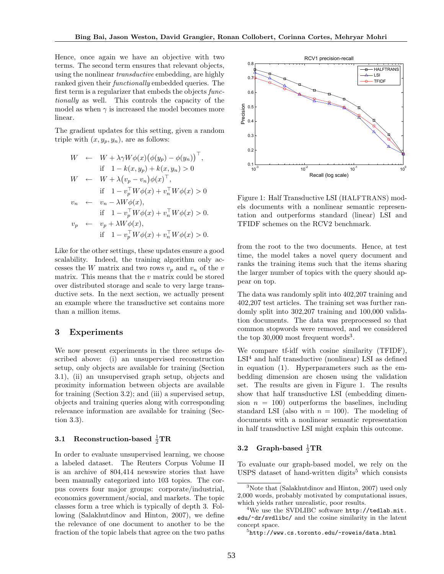Hence, once again we have an objective with two terms. The second term ensures that relevant objects, using the nonlinear transductive embedding, are highly ranked given their functionally embedded queries. The first term is a regularizer that embeds the objects functionally as well. This controls the capacity of the model as when  $\gamma$  is increased the model becomes more linear.

The gradient updates for this setting, given a random triple with  $(x, y_p, y_n)$ , are as follows:

$$
W \leftarrow W + \lambda \gamma W \phi(x) (\phi(y_p) - \phi(y_n))^\top,
$$
  
\nif  $1 - k(x, y_p) + k(x, y_n) > 0$   
\n
$$
W \leftarrow W + \lambda (v_p - v_n) \phi(x)^\top,
$$
  
\nif  $1 - v_p^\top W \phi(x) + v_n^\top W \phi(x) > 0$   
\n
$$
v_n \leftarrow v_n - \lambda W \phi(x),
$$
  
\nif  $1 - v_p^\top W \phi(x) + v_n^\top W \phi(x) > 0$ .  
\n
$$
v_p \leftarrow v_p + \lambda W \phi(x),
$$
  
\nif  $1 - v_p^\top W \phi(x) + v_n^\top W \phi(x) > 0$ .

Like for the other settings, these updates ensure a good scalability. Indeed, the training algorithm only accesses the W matrix and two rows  $v_p$  and  $v_n$  of the v matrix. This means that the  $v$  matrix could be stored over distributed storage and scale to very large transductive sets. In the next section, we actually present an example where the transductive set contains more than a million items.

#### 3 Experiments

We now present experiments in the three setups described above: (i) an unsupervised reconstruction setup, only objects are available for training (Section 3.1), (ii) an unsupervised graph setup, objects and proximity information between objects are available for training (Section 3.2); and (iii) a supervised setup, objects and training queries along with corresponding relevance information are available for training (Section 3.3).

# 3.1 Reconstruction-based  $\frac{1}{2} \text{TR}$

In order to evaluate unsupervised learning, we choose a labeled dataset. The Reuters Corpus Volume II is an archive of 804,414 newswire stories that have been manually categorized into 103 topics. The corpus covers four major groups: corporate/industrial, economics government/social, and markets. The topic classes form a tree which is typically of depth 3. Following (Salakhutdinov and Hinton, 2007), we define the relevance of one document to another to be the fraction of the topic labels that agree on the two paths



Figure 1: Half Transductive LSI (HALFTRANS) models documents with a nonlinear semantic representation and outperforms standard (linear) LSI and TFIDF schemes on the RCV2 benchmark.

from the root to the two documents. Hence, at test time, the model takes a novel query document and ranks the training items such that the items sharing the larger number of topics with the query should appear on top.

The data was randomly split into 402,207 training and 402,207 test articles. The training set was further randomly split into 302,207 training and 100,000 validation documents. The data was preprocessed so that common stopwords were removed, and we considered the top  $30,000$  most frequent words<sup>3</sup>.

We compare tf-idf with cosine similarity (TFIDF),  $LSI<sup>4</sup>$  and half transductive (nonlinear) LSI as defined in equation (1). Hyperparameters such as the embedding dimension are chosen using the validation set. The results are given in Figure 1. The results show that half transductive LSI (embedding dimension  $n = 100$ ) outperforms the baselines, including standard LSI (also with  $n = 100$ ). The modeling of documents with a nonlinear semantic representation in half transductive LSI might explain this outcome.

# 3.2 Graph-based  $\frac{1}{2} \text{TR}$

To evaluate our graph-based model, we rely on the USPS dataset of hand-written digits<sup>5</sup> which consists

<sup>&</sup>lt;sup>3</sup>Note that (Salakhutdinov and Hinton, 2007) used only 2,000 words, probably motivated by computational issues, which yields rather unrealistic, poor results.

 $4$ We use the SVDLIBC software  $http://tedlab.mit.$ edu/~dr/svdlibc/ and the cosine similarity in the latent concept space.

 $5$ http://www.cs.toronto.edu/~roweis/data.html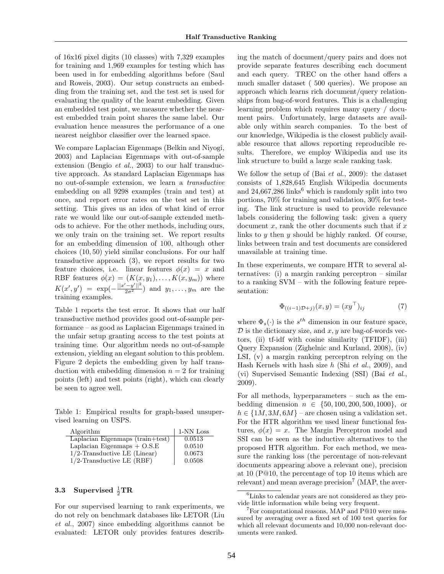of 16x16 pixel digits (10 classes) with 7,329 examples for training and 1,969 examples for testing which has been used in for embedding algorithms before (Saul and Roweis, 2003). Our setup constructs an embedding from the training set, and the test set is used for evaluating the quality of the learnt embedding. Given an embedded test point, we measure whether the nearest embedded train point shares the same label. Our evaluation hence measures the performance of a one nearest neighbor classifier over the learned space.

We compare Laplacian Eigenmaps (Belkin and Niyogi, 2003) and Laplacian Eigenmaps with out-of-sample extension (Bengio et al., 2003) to our half transductive approach. As standard Laplacian Eigenmaps has no out-of-sample extension, we learn a transductive embedding on all 9298 examples (train and test) at once, and report error rates on the test set in this setting. This gives us an idea of what kind of error rate we would like our out-of-sample extended methods to achieve. For the other methods, including ours, we only train on the training set. We report results for an embedding dimension of 100, although other choices (10, 50) yield similar conclusions. For our half transductive approach (3), we report results for two feature choices, i.e. linear features  $\phi(x) = x$  and RBF features  $\phi(x) = (K(x, y_1), \dots, K(x, y_m))$  where  $K(x', y') = \exp(-\frac{||x'-y'||^2}{2\sigma^2})$  and  $y_1, \ldots, y_m$  are the training examples.

Table 1 reports the test error. It shows that our half transductive method provides good out-of-sample performance – as good as Laplacian Eigenmaps trained in the unfair setup granting access to the test points at training time. Our algorithm needs no out-of-sample extension, yielding an elegant solution to this problem. Figure 2 depicts the embedding given by half transduction with embedding dimension  $n = 2$  for training points (left) and test points (right), which can clearly be seen to agree well.

Table 1: Empirical results for graph-based unsupervised learning on USPS.

| Algorithm                            | 1-NN Loss |
|--------------------------------------|-----------|
| Laplacian Eigenmaps $(train + test)$ | 0.0513    |
| Laplacian Eigenmaps $+$ O.S.E        | 0.0510    |
| $1/2$ -Transductive LE (Linear)      | 0.0673    |
| $1/2$ -Transductive LE (RBF)         | 0.0508    |

# 3.3 Supervised  $\frac{1}{2} \text{TR}$

For our supervised learning to rank experiments, we do not rely on benchmark databases like LETOR (Liu et al., 2007) since embedding algorithms cannot be evaluated: LETOR only provides features describ-

ing the match of document/query pairs and does not provide separate features describing each document and each query. TREC on the other hand offers a much smaller dataset ( 500 queries). We propose an approach which learns rich document/query relationships from bag-of-word features. This is a challenging learning problem which requires many query / document pairs. Unfortunately, large datasets are available only within search companies. To the best of our knowledge, Wikipedia is the closest publicly available resource that allows reporting reproducible results. Therefore, we employ Wikipedia and use its link structure to build a large scale ranking task.

We follow the setup of (Bai et al., 2009): the dataset consists of 1,828,645 English Wikipedia documents and  $24,667,286$  links<sup>6</sup> which is randomly split into two portions, 70% for training and validation, 30% for testing. The link structure is used to provide relevance labels considering the following task: given a query document  $x$ , rank the other documents such that if  $x$ links to y then y should be highly ranked. Of course, links between train and test documents are considered unavailable at training time.

In these experiments, we compare HTR to several alternatives: (i) a margin ranking perceptron – similar to a ranking SVM – with the following feature representation:

$$
\Phi_{((i-1)\mathcal{D}+j)}(x,y) = (xy^\top)_{ij} \tag{7}
$$

where  $\Phi_s(\cdot)$  is the  $s^{th}$  dimension in our feature space,  $\mathcal D$  is the dictionary size, and  $x, y$  are bag-of-words vectors, (ii) tf-idf with cosine similarity (TFIDF), (iii) Query Expansion (Zighelnic and Kurland, 2008), (iv) LSI, (v) a margin ranking perceptron relying on the Hash Kernels with hash size  $h$  (Shi *et al.*, 2009), and (vi) Supervised Semantic Indexing (SSI) (Bai et al., 2009).

For all methods, hyperparameters – such as the embedding dimension  $n \in \{50, 100, 200, 500, 1000\}$ , or  $h \in \{1M, 3M, 6M\}$  – are chosen using a validation set. For the HTR algorithm we used linear functional features,  $\phi(x) = x$ . The Margin Perceptron model and SSI can be seen as the inductive alternatives to the proposed HTR algorithm. For each method, we measure the ranking loss (the percentage of non-relevant documents appearing above a relevant one), precision at 10 (P@10, the percentage of top 10 items which are relevant) and mean average precision<sup>7</sup> (MAP, the aver-

<sup>&</sup>lt;sup>6</sup>Links to calendar years are not considered as they provide little information while being very frequent.

 $7$ For computational reasons, MAP and P@10 were measured by averaging over a fixed set of 100 test queries for which all relevant documents and 10,000 non-relevant documents were ranked.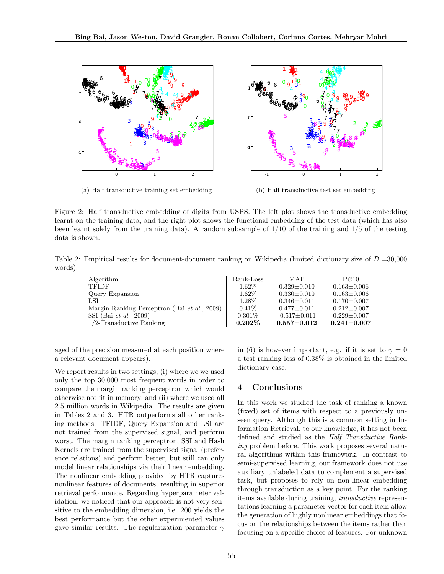

(a) Half transductive training set embedding

(b) Half transductive test set embedding

Figure 2: Half transductive embedding of digits from USPS. The left plot shows the transductive embedding learnt on the training data, and the right plot shows the functional embedding of the test data (which has also been learnt solely from the training data). A random subsample of 1/10 of the training and 1/5 of the testing data is shown.

Table 2: Empirical results for document-document ranking on Wikipedia (limited dictionary size of  $\mathcal{D} = 30,000$ ) words).

| Algorithm                                    | Rank-Loss | MAP               | P@10              |
|----------------------------------------------|-----------|-------------------|-------------------|
| <b>TFIDF</b>                                 | $1.62\%$  | $0.329 + 0.010$   | $0.163 \pm 0.006$ |
| Query Expansion                              | $1.62\%$  | $0.330 \pm 0.010$ | $0.163 \pm 0.006$ |
| LSI                                          | 1.28\%    | $0.346 \pm 0.011$ | $0.170 \pm 0.007$ |
| Margin Ranking Perceptron (Bai et al., 2009) | $0.41\%$  | $0.477 \pm 0.011$ | $0.212 \pm 0.007$ |
| SSI (Bai <i>et al.</i> , 2009)               | $0.301\%$ | $0.517 \pm 0.011$ | $0.229 \pm 0.007$ |
| $1/2$ -Transductive Ranking                  | $0.202\%$ | $0.557 \pm 0.012$ | $0.241 \pm 0.007$ |

aged of the precision measured at each position where a relevant document appears).

We report results in two settings, (i) where we we used only the top 30,000 most frequent words in order to compare the margin ranking perceptron which would otherwise not fit in memory; and (ii) where we used all 2.5 million words in Wikipedia. The results are given in Tables 2 and 3. HTR outperforms all other ranking methods. TFIDF, Query Expansion and LSI are not trained from the supervised signal, and perform worst. The margin ranking perceptron, SSI and Hash Kernels are trained from the supervised signal (preference relations) and perform better, but still can only model linear relationships via their linear embedding. The nonlinear embedding provided by HTR captures nonlinear features of documents, resulting in superior retrieval performance. Regarding hyperparameter validation, we noticed that our approach is not very sensitive to the embedding dimension, i.e. 200 yields the best performance but the other experimented values gave similar results. The regularization parameter  $\gamma$ 

in (6) is however important, e.g. if it is set to  $\gamma = 0$ a test ranking loss of 0.38% is obtained in the limited dictionary case.

### 4 Conclusions

In this work we studied the task of ranking a known (fixed) set of items with respect to a previously unseen query. Although this is a common setting in Information Retrieval, to our knowledge, it has not been defined and studied as the Half Transductive Ranking problem before. This work proposes several natural algorithms within this framework. In contrast to semi-supervised learning, our framework does not use auxiliary unlabeled data to complement a supervised task, but proposes to rely on non-linear embedding through transduction as a key point. For the ranking items available during training, transductive representations learning a parameter vector for each item allow the generation of highly nonlinear embeddings that focus on the relationships between the items rather than focusing on a specific choice of features. For unknown